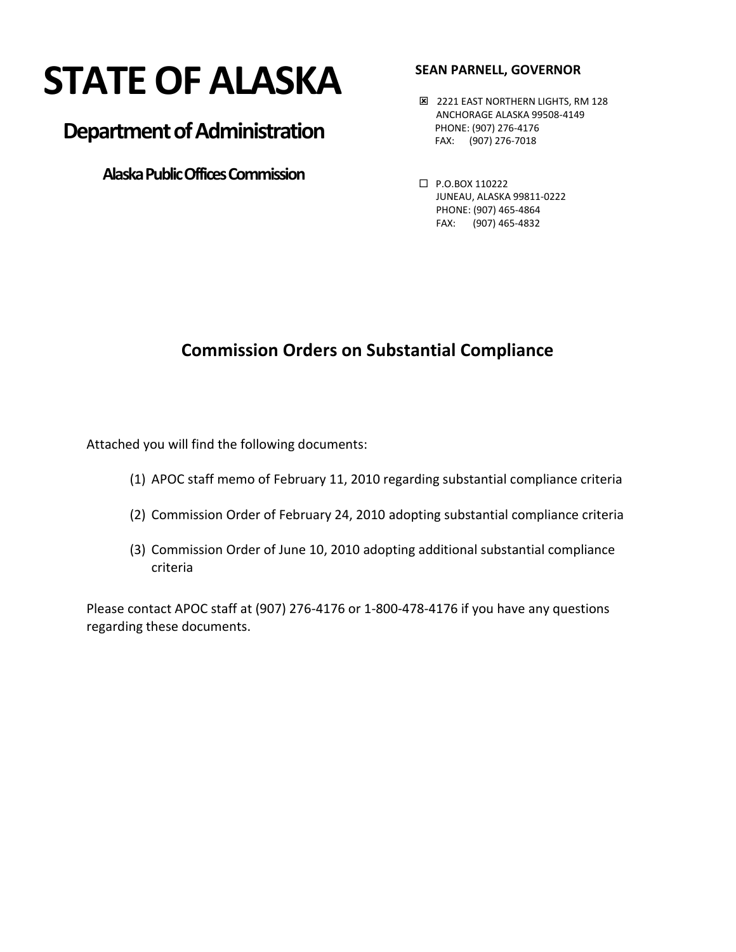# **STATE OF ALASKA**

## **Department of Administration**

 **Alaska Public Offices Commission**

#### **SEAN PARNELL, GOVERNOR**

- **E 2221 EAST NORTHERN LIGHTS, RM 128**  ANCHORAGE ALASKA 99508-4149 PHONE: (907) 276-4176 FAX: (907) 276-7018
- P.O.BOX 110222 JUNEAU, ALASKA 99811-0222 PHONE: (907) 465-4864 FAX: (907) 465-4832

### **Commission Orders on Substantial Compliance**

Attached you will find the following documents:

- (1) APOC staff memo of February 11, 2010 regarding substantial compliance criteria
- (2) Commission Order of February 24, 2010 adopting substantial compliance criteria
- (3) Commission Order of June 10, 2010 adopting additional substantial compliance criteria

Please contact APOC staff at (907) 276-4176 or 1-800-478-4176 if you have any questions regarding these documents.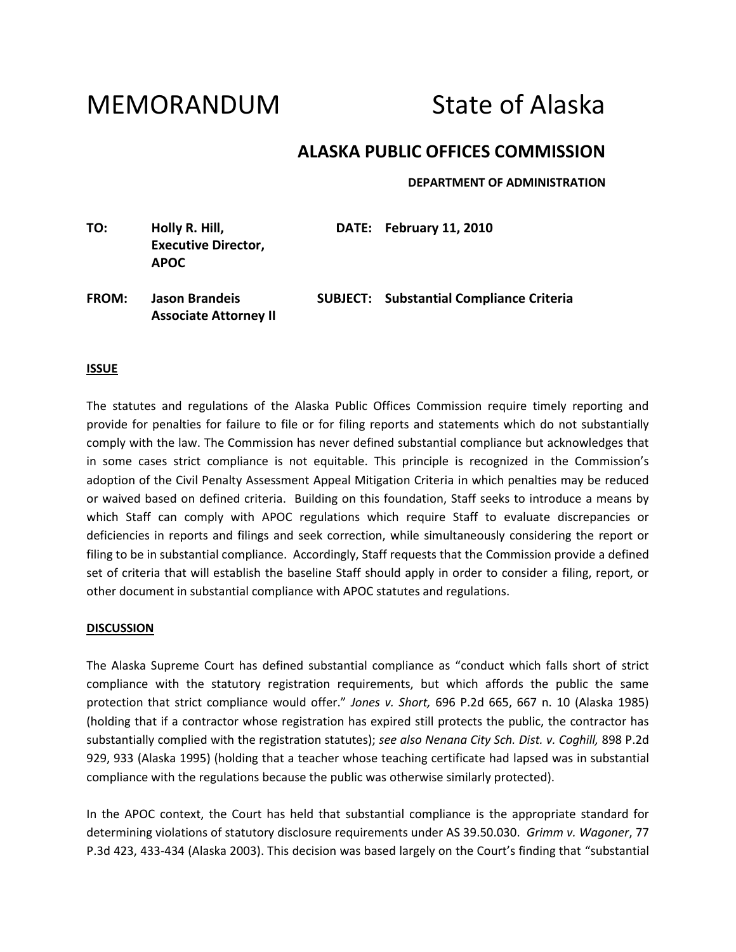## MEMORANDUM State of Alaska

#### **ALASKA PUBLIC OFFICES COMMISSION**

**DEPARTMENT OF ADMINISTRATION**

| TO:          | Holly R. Hill,<br><b>Executive Director,</b><br><b>APOC</b> | DATE: February 11, 2010                         |
|--------------|-------------------------------------------------------------|-------------------------------------------------|
| <b>FROM:</b> | <b>Jason Brandeis</b><br><b>Associate Attorney II</b>       | <b>SUBJECT:</b> Substantial Compliance Criteria |

#### **ISSUE**

The statutes and regulations of the Alaska Public Offices Commission require timely reporting and provide for penalties for failure to file or for filing reports and statements which do not substantially comply with the law. The Commission has never defined substantial compliance but acknowledges that in some cases strict compliance is not equitable. This principle is recognized in the Commission's adoption of the Civil Penalty Assessment Appeal Mitigation Criteria in which penalties may be reduced or waived based on defined criteria. Building on this foundation, Staff seeks to introduce a means by which Staff can comply with APOC regulations which require Staff to evaluate discrepancies or deficiencies in reports and filings and seek correction, while simultaneously considering the report or filing to be in substantial compliance. Accordingly, Staff requests that the Commission provide a defined set of criteria that will establish the baseline Staff should apply in order to consider a filing, report, or other document in substantial compliance with APOC statutes and regulations.

#### **DISCUSSION**

The Alaska Supreme Court has defined substantial compliance as "conduct which falls short of strict compliance with the statutory registration requirements, but which affords the public the same protection that strict compliance would offer." *Jones v. Short,* 696 P.2d 665, 667 n. 10 (Alaska 1985) (holding that if a contractor whose registration has expired still protects the public, the contractor has substantially complied with the registration statutes); *see also Nenana City Sch. Dist. v. Coghill,* 898 P.2d 929, 933 (Alaska 1995) (holding that a teacher whose teaching certificate had lapsed was in substantial compliance with the regulations because the public was otherwise similarly protected).

In the APOC context, the Court has held that substantial compliance is the appropriate standard for determining violations of statutory disclosure requirements under AS 39.50.030. *Grimm v. Wagoner*, 77 P.3d 423, 433-434 (Alaska 2003). This decision was based largely on the Court's finding that "substantial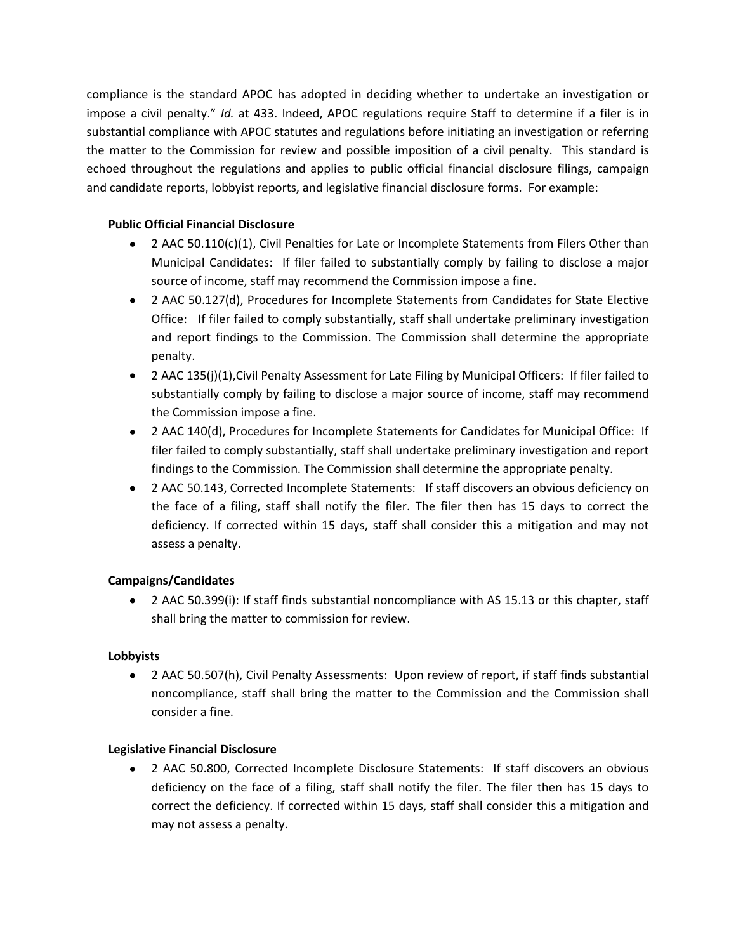compliance is the standard APOC has adopted in deciding whether to undertake an investigation or impose a civil penalty." *Id.* at 433. Indeed, APOC regulations require Staff to determine if a filer is in substantial compliance with APOC statutes and regulations before initiating an investigation or referring the matter to the Commission for review and possible imposition of a civil penalty. This standard is echoed throughout the regulations and applies to public official financial disclosure filings, campaign and candidate reports, lobbyist reports, and legislative financial disclosure forms. For example:

#### **Public Official Financial Disclosure**

- 2 AAC 50.110(c)(1), Civil Penalties for Late or Incomplete Statements from Filers Other than Municipal Candidates: If filer failed to substantially comply by failing to disclose a major source of income, staff may recommend the Commission impose a fine.
- 2 AAC 50.127(d), Procedures for Incomplete Statements from Candidates for State Elective Office: If filer failed to comply substantially, staff shall undertake preliminary investigation and report findings to the Commission. The Commission shall determine the appropriate penalty.
- 2 AAC 135(j)(1),Civil Penalty Assessment for Late Filing by Municipal Officers: If filer failed to substantially comply by failing to disclose a major source of income, staff may recommend the Commission impose a fine.
- 2 AAC 140(d), Procedures for Incomplete Statements for Candidates for Municipal Office: If filer failed to comply substantially, staff shall undertake preliminary investigation and report findings to the Commission. The Commission shall determine the appropriate penalty.
- 2 AAC 50.143, Corrected Incomplete Statements: If staff discovers an obvious deficiency on the face of a filing, staff shall notify the filer. The filer then has 15 days to correct the deficiency. If corrected within 15 days, staff shall consider this a mitigation and may not assess a penalty.

#### **Campaigns/Candidates**

2 AAC 50.399(i): If staff finds substantial noncompliance with AS 15.13 or this chapter, staff shall bring the matter to commission for review.

#### **Lobbyists**

2 AAC 50.507(h), Civil Penalty Assessments: Upon review of report, if staff finds substantial noncompliance, staff shall bring the matter to the Commission and the Commission shall consider a fine.

#### **Legislative Financial Disclosure**

2 AAC 50.800, Corrected Incomplete Disclosure Statements: If staff discovers an obvious deficiency on the face of a filing, staff shall notify the filer. The filer then has 15 days to correct the deficiency. If corrected within 15 days, staff shall consider this a mitigation and may not assess a penalty.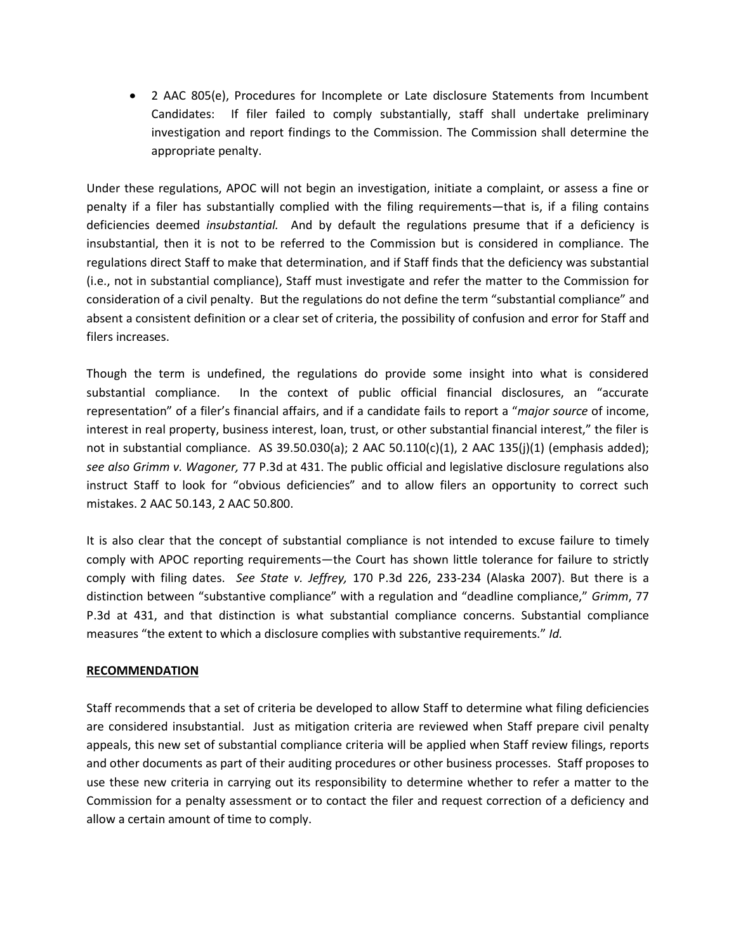2 AAC 805(e), Procedures for Incomplete or Late disclosure Statements from Incumbent Candidates: If filer failed to comply substantially, staff shall undertake preliminary investigation and report findings to the Commission. The Commission shall determine the appropriate penalty.

Under these regulations, APOC will not begin an investigation, initiate a complaint, or assess a fine or penalty if a filer has substantially complied with the filing requirements—that is, if a filing contains deficiencies deemed *insubstantial.* And by default the regulations presume that if a deficiency is insubstantial, then it is not to be referred to the Commission but is considered in compliance. The regulations direct Staff to make that determination, and if Staff finds that the deficiency was substantial (i.e., not in substantial compliance), Staff must investigate and refer the matter to the Commission for consideration of a civil penalty. But the regulations do not define the term "substantial compliance" and absent a consistent definition or a clear set of criteria, the possibility of confusion and error for Staff and filers increases.

Though the term is undefined, the regulations do provide some insight into what is considered substantial compliance. In the context of public official financial disclosures, an "accurate representation" of a filer's financial affairs, and if a candidate fails to report a "*major source* of income, interest in real property, business interest, loan, trust, or other substantial financial interest," the filer is not in substantial compliance. AS 39.50.030(a); 2 AAC 50.110(c)(1), 2 AAC 135(j)(1) (emphasis added); *see also Grimm v. Wagoner,* 77 P.3d at 431. The public official and legislative disclosure regulations also instruct Staff to look for "obvious deficiencies" and to allow filers an opportunity to correct such mistakes. 2 AAC 50.143, 2 AAC 50.800.

It is also clear that the concept of substantial compliance is not intended to excuse failure to timely comply with APOC reporting requirements—the Court has shown little tolerance for failure to strictly comply with filing dates. *See State v. Jeffrey,* 170 P.3d 226, 233-234 (Alaska 2007). But there is a distinction between "substantive compliance" with a regulation and "deadline compliance," *Grimm*, 77 P.3d at 431, and that distinction is what substantial compliance concerns. Substantial compliance measures "the extent to which a disclosure complies with substantive requirements." *Id.*

#### **RECOMMENDATION**

Staff recommends that a set of criteria be developed to allow Staff to determine what filing deficiencies are considered insubstantial. Just as mitigation criteria are reviewed when Staff prepare civil penalty appeals, this new set of substantial compliance criteria will be applied when Staff review filings, reports and other documents as part of their auditing procedures or other business processes. Staff proposes to use these new criteria in carrying out its responsibility to determine whether to refer a matter to the Commission for a penalty assessment or to contact the filer and request correction of a deficiency and allow a certain amount of time to comply.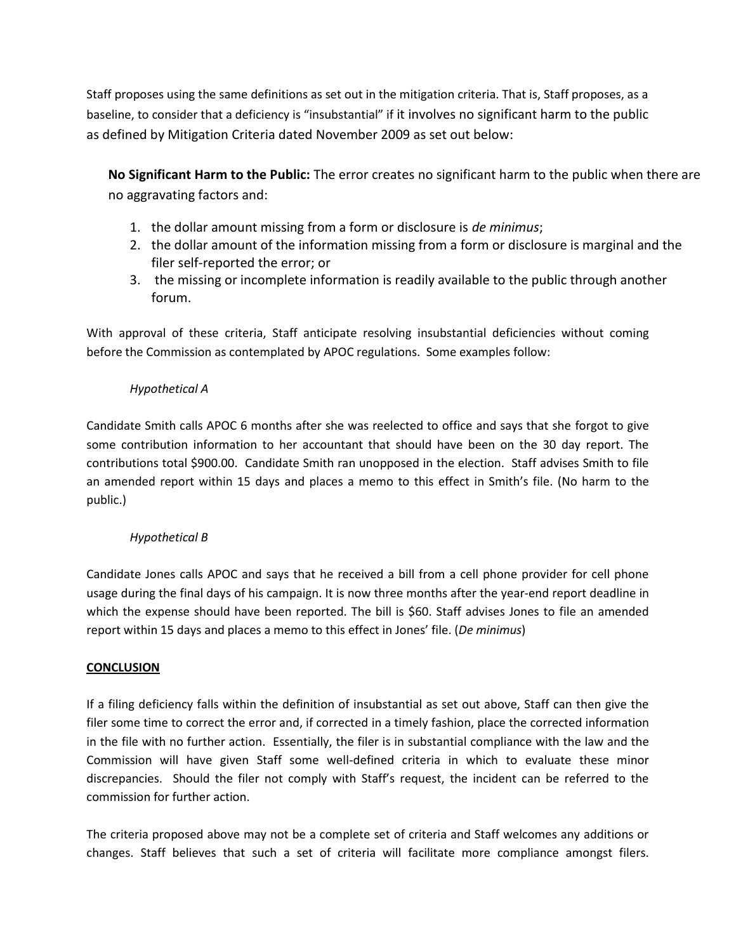Staff proposes using the same definitions as set out in the mitigation criteria. That is, Staff proposes, as a baseline, to consider that a deficiency is "insubstantial" if it involves no significant harm to the public as defined by Mitigation Criteria dated November 2009 as set out below:

**No Significant Harm to the Public:** The error creates no significant harm to the public when there are no aggravating factors and:

- 1. the dollar amount missing from a form or disclosure is *de minimus*;
- 2. the dollar amount of the information missing from a form or disclosure is marginal and the filer self-reported the error; or
- 3. the missing or incomplete information is readily available to the public through another forum.

With approval of these criteria, Staff anticipate resolving insubstantial deficiencies without coming before the Commission as contemplated by APOC regulations. Some examples follow:

#### *Hypothetical A*

Candidate Smith calls APOC 6 months after she was reelected to office and says that she forgot to give some contribution information to her accountant that should have been on the 30 day report. The contributions total \$900.00. Candidate Smith ran unopposed in the election. Staff advises Smith to file an amended report within 15 days and places a memo to this effect in Smith's file. (No harm to the public.)

#### *Hypothetical B*

Candidate Jones calls APOC and says that he received a bill from a cell phone provider for cell phone usage during the final days of his campaign. It is now three months after the year-end report deadline in which the expense should have been reported. The bill is \$60. Staff advises Jones to file an amended report within 15 days and places a memo to this effect in Jones' file. (*De minimus*)

#### **CONCLUSION**

If a filing deficiency falls within the definition of insubstantial as set out above, Staff can then give the filer some time to correct the error and, if corrected in a timely fashion, place the corrected information in the file with no further action. Essentially, the filer is in substantial compliance with the law and the Commission will have given Staff some well-defined criteria in which to evaluate these minor discrepancies. Should the filer not comply with Staff's request, the incident can be referred to the commission for further action.

The criteria proposed above may not be a complete set of criteria and Staff welcomes any additions or changes. Staff believes that such a set of criteria will facilitate more compliance amongst filers.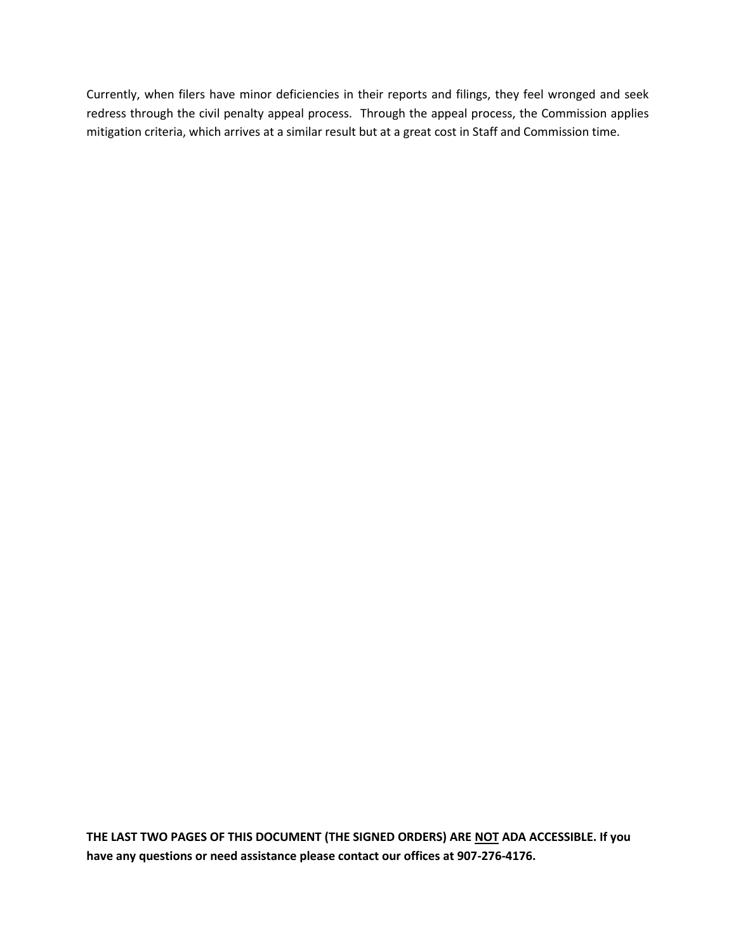Currently, when filers have minor deficiencies in their reports and filings, they feel wronged and seek redress through the civil penalty appeal process. Through the appeal process, the Commission applies mitigation criteria, which arrives at a similar result but at a great cost in Staff and Commission time.

**THE LAST TWO PAGES OF THIS DOCUMENT (THE SIGNED ORDERS) ARE NOT ADA ACCESSIBLE. If you have any questions or need assistance please contact our offices at 907-276-4176.**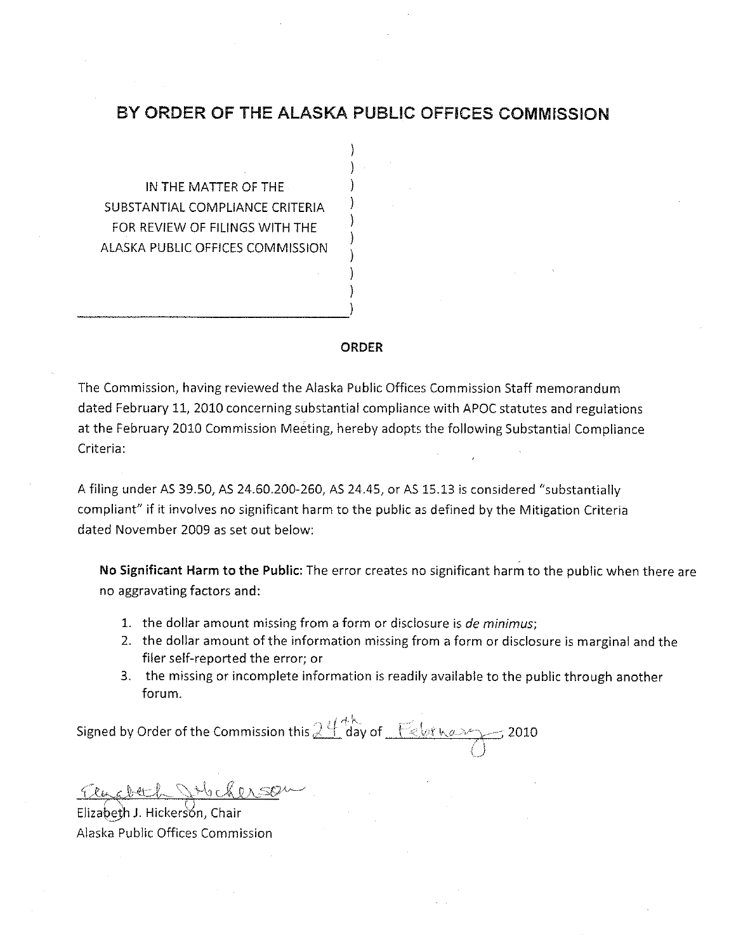#### BY ORDER OF THE ALASKA PUBLIC OFFICES COMMISSION

IN THE MATTER OF THE SUBSTANTIAL COMPLIANCE CRITERIA FOR REVIEW OF FILINGS WITH THE ALASKA PUBLIC OFFICES COMMISSION

#### **ORDER**

The Commission, having reviewed the Alaska Public Offices Commission Staff memorandum dated February 11, 2010 concerning substantial compliance with APOC statutes and regulations at the February 2010 Commission Meeting, hereby adopts the following Substantial Compliance Criteria:

A filing under AS 39.50, AS 24.60.200-260, AS 24.45, or AS 15.13 is considered "substantially compliant" if it involves no significant harm to the public as defined by the Mitigation Criteria dated November 2009 as set out below:

No Significant Harm to the Public: The error creates no significant harm to the public when there are no aggravating factors and:

- 1. the dollar amount missing from a form or disclosure is de minimus;
- 2. the dollar amount of the information missing from a form or disclosure is marginal and the filer self-reported the error; or
- 3. the missing or incomplete information is readily available to the public through another forum.

Signed by Order of the Commission this  $24$  day of February  $\frac{1}{2010}$ 

Elizabeth J. Hickerson, Chair Alaska Public Offices Commission